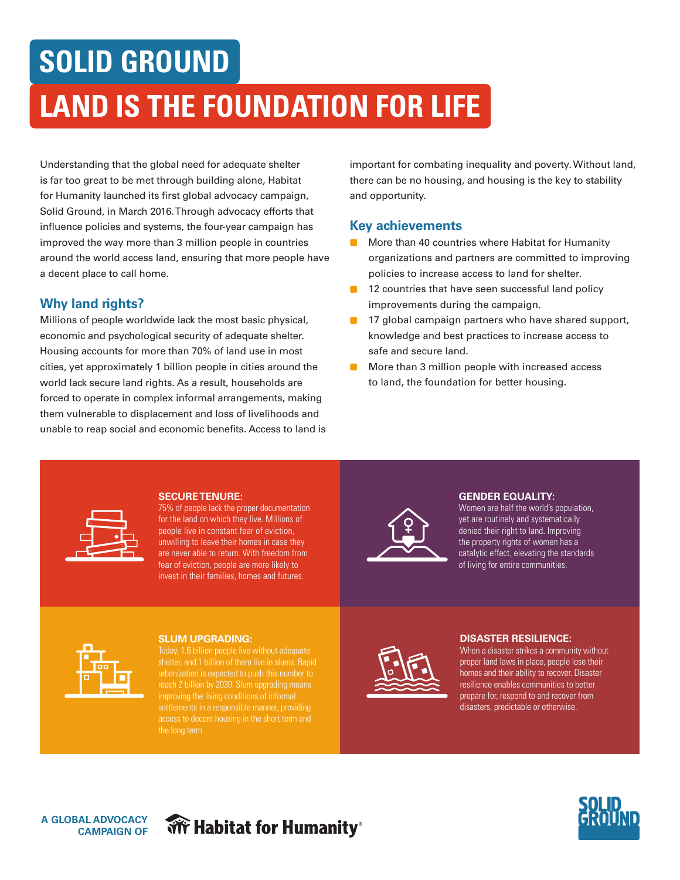# **SOLID GROUND**

# **LAND IS THE FOUNDATION FOR LIFE**

Understanding that the global need for adequate shelter is far too great to be met through building alone, Habitat for Humanity launched its first global advocacy campaign, Solid Ground, in March 2016. Through advocacy efforts that influence policies and systems, the four-year campaign has improved the way more than 3 million people in countries around the world access land, ensuring that more people have a decent place to call home.

## **Why land rights?**

Millions of people worldwide lack the most basic physical, economic and psychological security of adequate shelter. Housing accounts for more than 70% of land use in most cities, yet approximately 1 billion people in cities around the world lack secure land rights. As a result, households are forced to operate in complex informal arrangements, making them vulnerable to displacement and loss of livelihoods and unable to reap social and economic benefits. Access to land is important for combating inequality and poverty. Without land, there can be no housing, and housing is the key to stability and opportunity.

### **Key achievements**

- More than 40 countries where Habitat for Humanity organizations and partners are committed to improving policies to increase access to land for shelter.
- **12 countries that have seen successful land policy** improvements during the campaign.
- 17 global campaign partners who have shared support, knowledge and best practices to increase access to safe and secure land.
- More than 3 million people with increased access to land, the foundation for better housing.



#### **SECURE TENURE:**

75% of people lack the proper documentation for the land on which they live. Millions of people live in constant fear of eviction, unwilling to leave their homes in case they are never able to return. With freedom from fear of eviction, people are more likely to invest in their families, homes and futures.



#### **GENDER EQUALITY:**

Women are half the world's population, yet are routinely and systematically denied their right to land. Improving the property rights of women has a catalytic effect, elevating the standards of living for entire communities.



#### **SLUM UPGRADING:**

settlements in a responsible manner, providing access to decent housing in the short term and the long term.



#### **DISASTER RESILIENCE:**

When a disaster strikes a community without proper land laws in place, people lose their homes and their ability to recover. Disaster resilience enables communities to better prepare for, respond to and recover from disasters, predictable or otherwise.



# **We Habitat for Humanity**®